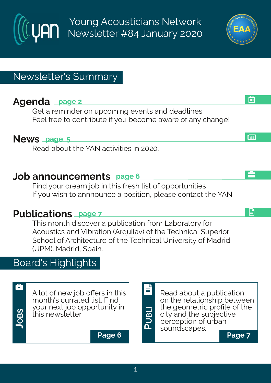Young Acousticians Network Newsletter #84 January 2020

## Newsletter's Summary

# **Agenda page 2**

Get a reminder on upcoming events and deadlines. Feel free to contribute if you become aware of any change!

### **News page 5**

Read about the YAN activities in 2020.

### **Job announcements page 6**

Find your dream job in this fresh list of opportunities! If you wish to annnounce a position, please contact the YAN.

# **Publications page 7**

This month discover a publication from Laboratory for Acoustics and Vibration (Arquilav) of the Technical Superior School of Architecture of the Technical University of Madrid (UPM). Madrid, Spain.

# Board's Highlights



 $\left\{ \begin{array}{c} \begin{array}{c} \begin{array}{c} \blacksquare\\ \blacksquare \end{array} \end{array} \right.$  A lot of new job offers in this  $\begin{array}{c} \begin{array}{c} \blacksquare\\ \blacksquare \end{array} \end{array} \end{array} \right.$ month's currated list. Find your next job opportunity in this newsletter.

**Page 6 Page 7**



**PUBLI**



日

å

**EB** 

画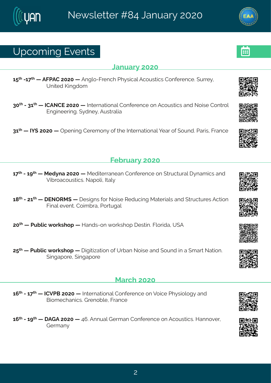### Yt gsq mk#Jzi r xw

#### **Cervey #575**

6:  $\frac{\cancel{x}}{4}$  #26 <  $\cancel{x}$  # #FKUFH #7575 # #Frkps 2 K virgl #Ul } wongept Fgsywongw #Hsrjivirgi 34 y wi} # Yrmih#Pmkhsq

85<sup>x</sup> #2486<sup>x</sup> # #NHFSHJ#7575# #Nxivrexmsrep#Hsrjivirgi#sr#Fgsywxmgw#erh#Ssmwi#Hsrxvsp# Jrkmiiwnk3#}hri} #Fyww.epme

86<sup>x|</sup> # 1N] (#7575# #Ttirmnk#Hiviq sr}#sj#vli#Ntxivrexmsrep#|iev#sj#(syrh3#Jevmw1#Kvergi

#### Ki f wev  $\#575$

6 << # #246 > x # #Rih}re#7575 # #Rihmaiwerier#Hsrjivirgi#sr#(xvygxyvep#}req mgw#erh# Znfrusegsyword words et sprinklep

 $6 = x$  #24776 $x$  # JSTWR (# # i whar w#sv#Ssmwi#N' hygmk#Rexivment were h# xvygxy viw#Fgxnsr# Kmep#zirx StHsmotfve1#Usvxykep

75<sup>x</sup> # #Uyfprg# svowlst# #Merhw2sr# svowlst# iwwm3Kpswhne1#Y (F

7:  $*$  # #Llyfpront svow st# # nknownexosin #si#Yvfer#Ssmwi#erh#syrh#nn#e#qew#Sexosin 3# (mket svi # mket svi

#### Reval #575

6;  $\frac{1}{2}$  #246 <  $\frac{1}{4}$  #HHZUG#7575 # #N xi vrexms rep#Hsrjivirgi#sr#Zsmoji#Ul } wmspsk } #erh# Grsnq i gler monost virsf pitK vergi

6;  $\frac{\cancel{0}}{12}$  # # FLF#7575# #9; 3FFryep#Livq er#Hsrjivirgi#sr#Fgsywwqnw3AMerrsziv#  $L$ i vq er  $\}$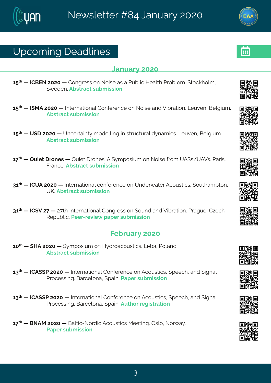# Yt gsq mk# i ehpni w

#### **Cervey #575**

6: \* # #HHGJS#7575# #Hsrkviww#sr#Ssmwi#ew#e#Llyfpnop#Miepol#Llusfpig 3#xsgolspot# ({i hi r 3Ff wwegx#w f g mwnsn

- 6: <sup>xl</sup> # #NIRF#7575# #Nixi vrexmsrep#Hsrijvi rgi#sr#Ssmwi#erh#Zmívexmsr3#Qivzi r#Ginkmyg 3# Ff wwegx#w f g mwnsr
- 6:  $*$  #  $#$  (1  $#$  575 #  $#$  r given n  $*$  #  $*$  shipon k# n  $#$  w  $\gamma$  ox  $\gamma$  eq now  $*$   $\alpha$   $\gamma$  zir  $*$   $\beta$   $\alpha$   $\gamma$   $\alpha$   $*$ Ff wwegx#w f g mwnsr
- 6 << 4 # 4V y m x # vsriw # #V y m x # vsriw 3F# } q t swnyq #sr#Ssnwi# vsq #YF (w4YFZw 3U evnw # Kver ai 3Ff wweax#wf a mwnsr
- 86<sup>x</sup> # #HHYF#7575# #Ntxivrexmsrep#gsrjivirgi#sr#Yrhiv{exiv#Fgsywwmgw&tsyxleqtxsr# YP3Ff wwegx#wyf q mwnsr
- 86<sup>x</sup> # #HH(Z#7<# #7<x #Ntxivrexmsrep#Hsrkviww#sr#(syrh#erh#Zmfvexmsr3#Uvekyi#H~igl# Wit yf pro 3 U i v2vi zm { # et i v#w f q mwns r

#### Ki f wev} #575

- $65^{\text{th}}$  # # MF#7575 # # } q t swmpq #sr#M} h vseqsyw monow \$4Q f e # Usperh  $\frac{34}{5}$ Ff wwegx#w f g mwnsr
- 68<sup>xl</sup> # #HHF ((U#7575# #Nhaivrexmsrep#Hsrjivirgi#sr#Fgsywwmogw/#tiigl1#erh#nkarep# Uvsgi www.mk3KGevgipsre#ttem3Uetiv#wfgmwnsr
- 68<sup>x</sup> # #HHF((U#7575# #Nxivrexmsrep#Hsrjivirgi#sr#Fgsywwmgw/#(tiigl1#erh#(nkrep# Uvsgiwwnk 36Gevgipsre#ttem 3Fyxl sw#ikmwwexmar
- 6 < <sup>\*</sup> # #GSFR#7575# #Gepxmg2Ssvhmg#Fgsyww.ngw#Riixnnk.34Twps1#Ssv{e}3# Uet i v#w f q mwnsr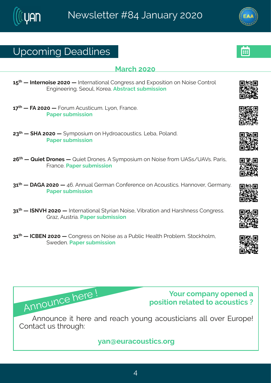## Yt gsq mk# i ehpni w

#### **Reval #575**

6:  $\frac{1}{4}$  # # xi vrsmvi#7575# # Naxi vrexmsrep#Hsrkviww#erh#Jltswmxnsr#sr#Ssmwi#Hsrxvsp# Jrkmii wmk3#isyp#Psvie3Ffwwegx#wfgmwnar

 $6 <$ <sup> $\frac{1}{4}$ </sup> #KF#7575# #Kswa #Favwwmova 3KQ sr #Kverai 3# Uet i v#w f q mwnsr

78<sup>x</sup> # # MF#7575 # # } q t swm, q # sr # M} h vseqsy ww.on w \$ Q f e # Usper h 3# Uet i v#w f g mwnsr

7; \*# #Vymix#Ivsriw# #Vymix#Ivsriw&F#{}qtswmyq#sr#Ssmwi#|vsq#YF(w4YFZw&Uewmw# Kver ai **3U**et i v#w f a mwnsr

86<sup>x</sup> # #FLF#7575# #9; 3FFrryep#Livqer#Hsrjivirgi#sr#Fgsywwmgw&AMerrsziv#Livqer}3# Uet i v#w f q mwnsr

86<sup>x</sup> # #NISZM#7575# #Nixivrexmsrep#(x)vmer#Ssmwi#Zmfvexmsr#erh#Mewlriww#Hsrkviww3# Lve~#Fyww.me3Luletiv#wfqmwnsr

86<sup>x</sup> # #HHGJS#7575# #Hsrkviww#sr#Ssmwi#ew#e#Uyfpog#Miepxl#Uwsfpiq 3#xsgolspq # ({ i hi r 3 Let i v#w f q mwns r

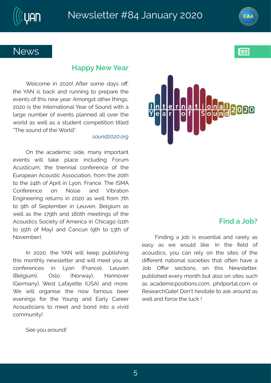### Si { w

#### Met  $t \nbrace \# \overline{S}$  i  $\{ \#$  i ev

[ i pgsq i #mn#7575\$#Fjxiv#wsq i #he}w#sO1# xli# FS# mo# f ego # er h# vyrrm k # xs#t vit evi#xli# izirxw#sj#xlmw#ri{#}iev3#Fqsrkw#sxliv#xlmnkw# 7575# world i#Ntxivrexnstrep#liev#si#(svrh#mxl#e# pewki#ryqfiw#sj#izirxw#tperrih#epp#sziw#xli# { sydn#ew#{ ing#ew#e#way hirx#gsg tixmansr#xmapih# **OXIi#wsyrh#sj#xli# sypho3** 

 $\cdot$  Uku $\tilde{C}$ k $\tilde{C}$ ka<sup>2</sup>L

Tr#xli#egehiq mg#whi#q er}#mot swerx# izir xw#{ mpp# xeoi#t pegi# mngpyhmnk#Kswg# Foywwonova #Hxi#xwmirrneg#asriivirgi#si#Hxii# Jyvstier#Fgsywwng#Fwwsgmexmsr# jvsq#Mi#75xl# xs# Ni#79xl#sj#Ftwnd#mn#Q}sr#Kvergi3#Xli#NiRF# Hsrjivirgi# sr# Ssmwi# erh# Zmívexmsr# Jrkmiiwnk#wixyvrw#mm#7575#ew#{ipp#jvsq#<xl# xs#>xl#sj#(itxigfiv#mm#Qiyzir#Gipkmyg#ew# { ingette w#xl i#6<>xl #erh#6=5xl #q i ixmlk w#sj#xl i# Fasywordw# saminx}#si#Fa i wroe#m#HI rojeks#66x1 #  $x$   $\neq$  6:  $x$   $\neq$   $x$   $\neq$   $\neq$   $\neq$   $\neq$   $\neq$   $\neq$   $\neq$   $\neq$   $\neq$   $\neq$   $\neq$   $\neq$   $\neq$   $\neq$   $\neq$   $\neq$   $\neq$   $\neq$   $\neq$   $\neq$   $\neq$   $\neq$   $\neq$   $\neq$   $\neq$   $\neq$   $\neq$   $\neq$   $\neq$   $\neq$   $\neq$   $\neq$   $\$ Sszigfiv.3

 $N#7575$  #x i # FS # { mometor it #t yf prown m k # **xlnw**#q srxlp}#ri{wpixxiv#erh#(mpo#q iix#}sy#ex# gsrjivirgiw# mm# Qsr#-Kvergi.# Qiyzir# -Gipk myq.  $#$  T wps  $#$  $-Ss$  e  $\#$ Merrszi v# -Livger}.  $#$  iw  $#$ Qeje} ix  $#$ -Y (F. #erh #g svi  $#$  $\lceil$  i# { mono# swker mwi# xli# rs { # jeq sy w # fiiv# izirmnkw#jsw#xli#]syrk#erh#Jevp}#Heviiw# Fgsywagner w#xs#q i i x#er h#f sr h#mxs#e#zmzmh#  $gsq q yr m$ \$

 $(i$  i  $#$  sy#ewsyrh\$

#### $Kmh##Sf$  D

Knnhmk#e#nsf#nw#iwwirxmen#erh#vevid=#ew# iew}#ew#{i#{syph#pooi3#Nt#xli#Piph#sj#  $egsy$ wangw#} sy#ger#vip}#sr#xli#wnaiw#sj#xli# hroi vir x#r exnsr ep#ws grinx in w#xl ex#sjxir #l ezi #e# Osf#TOI w# wigxnsrw# sr#xlmw#Si{ wpixxiv# tyfpnwlih#ziv}#g srxl#fyx#epws#sr#wnwiw#wygl# ew#egehig mot swomsrw@usg #tlhtswep@usg #sw# Wiw eval Lexi \$# sro\*# i womexi# s#ewo # usyrh#ew# { ipo#er h#svgi#xl i#pygo#\$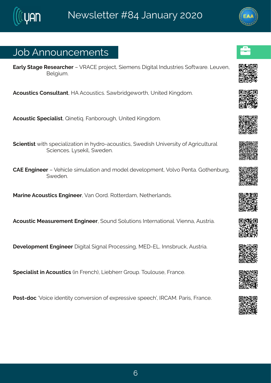# Osf#Frrsyrgiqirxw

Jevo}# xek i# Wiwievoll iv##ZWFHJ# vsnigx"#{ mig irw# mkn xep#Nihy www.miw#{ sjx{ evi3#Qjyzir# Gi dkma 3

Fasywomorths rwy pxerx14MF#Fasywomorth& e{fwthki{swl14A'rmaih#Pmkhsq3

Fasyword#tigreprowt#Vmixmo.3Kerfsvsykl1#Yrmah#Pmkhsg3

(gmir xnows# not #wt i grep mexosir #m#}h vs 2egsywnogw #{ i h mot #Yr nzi wwn</a>\$i#Fk wno y pxy vers#  $\frac{1}{2}$  (gm r gi w  $\frac{1}{2}$  w  $\frac{1}{2}$  on  $\frac{1}{2}$  (i hi r 3

HFJ#Jrkmiiv#t#Zilmopi#wmo; ypexmsr#erh#gship#hizipstgirx1#Zspzs#Uirxe3#Lsxlirfyvk1#  $({\nvert i \rvert n \rvert 3})$ 

Revni#Fgsywxngw#Jrkmiiv#Zer#Tsvh3#Vsxvivheq#Sixlivperhw3

Fgsyworg#Riewy viq ir x#Jrk miiv'#(syrh#spyxmsrw#Ntxivrexmsrep32Zmirre1#Fywwwme3

I i zipst q i r x#Jrk m i i v# nkmxep#, nkrep#LNsgiwwnnk 11R JI 2JQ Sphalr wfw go 11Fy www.ne3

(tigrapnw:#n:#Fgsywxngw:#m:#Kvirgl.1#Qmifliw:#Lvsyt33Ksypsywi1#Kvergi3

Uswild ans g#Zsmgi# hir xxx) #gsrziwnsnr#sj# | tviww.nzi# wtiigl o#NNHFR \$#Jevnw/#Kvergi3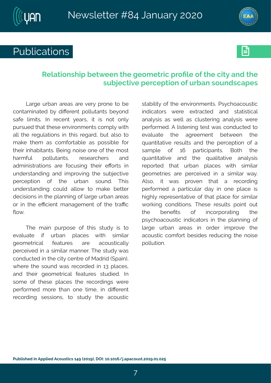

# Publications **Executive**



### **Relationship between the geometric profile of the city and the subjective perception of urban soundscapes**

Large urban areas are very prone to be contaminated by different pollutants beyond safe limits. In recent years, it is not only pursued that these environments comply with all the regulations in this regard, but also to make them as comfortable as possible for their inhabitants. Being noise one of the most harmful pollutants, researchers and administrations are focusing their efforts in understanding and improving the subjective perception of the urban sound. This understanding could allow to make better decisions in the planning of large urban areas or in the efficient management of the traffic flow.

The main purpose of this study is to evaluate if urban places with similar geometrical features are acoustically perceived in a similar manner. The study was conducted in the city centre of Madrid (Spain), where the sound was recorded in 13 places. and their geometrical features studied. In some of these places the recordings were performed more than one time, in different recording sessions, to study the acoustic

stability of the environments. Psychoacoustic indicators were extracted and statistical analysis as well as clustering analysis were performed. A listening test was conducted to evaluate the agreement between the quantitative results and the perception of a sample of 16 participants. Both the quantitative and the qualitative analysis reported that urban places with similar geometries are perceived in a similar way. Also, it was proven that a recording performed a particular day in one place is highly representative of that place for similar working conditions. These results point out the benefits of incorporating the psychoacoustic indicators in the planning of large urban areas in order improve the acoustic comfort besides reducing the noise pollution.

7